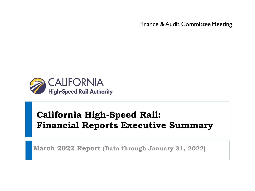Finance & Audit Committee Meeting



# **California High-Speed Rail: Financial Reports Executive Summary**

**March 2022 Report (Data through January 31, 2022)**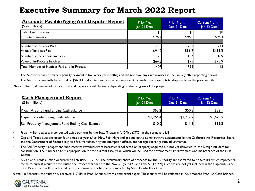| <b>Accounts Payable Aging And Disputes Report</b><br>$($$ in millions) | <b>Prior Year</b><br>Jan-21 Data | <b>Prior Month</b><br>Dec-21 Data | <b>Current Month</b><br>Jan-22 Data |
|------------------------------------------------------------------------|----------------------------------|-----------------------------------|-------------------------------------|
| Total Aged Invoices                                                    | \$0                              | \$0                               | \$0                                 |
| Dispute Summary                                                        | \$76.2                           | \$96.6                            | \$96.3                              |
|                                                                        |                                  |                                   |                                     |
| Number of Invoices Paid                                                | 230                              | 232                               | 244                                 |
| Value of Invoices Paid                                                 | \$91.2                           | \$86.9                            | \$111.2                             |
| Number of In-Process Invoices                                          | l 78                             | 167                               | 169                                 |
| Value of In-Process Invoices                                           | \$64.5                           | \$75                              | \$73.9                              |
| Total Number of Invoices Paid and In-Process                           | 408                              | 399                               | 4 3                                 |

• The Authority has not made a penalty payment in five years (60 months) and did not have any aged invoices in the January 2022 reporting period.

• The Authority currently has a total of \$96.3M in disputed invoices, which represents a \$266K decrease in total disputes from the prior month.

**Note:** The total number of invoices paid and in-process will fluctuate depending on the progress of the project.

| <b>Cash Management Report</b><br>$$$ in millions) | <b>Prior Year</b><br>Jan-21 Data | <b>Prior Month</b><br>Dec-21 Data | <b>Current Month</b><br>Jan-22 Data |
|---------------------------------------------------|----------------------------------|-----------------------------------|-------------------------------------|
| Prop IA Bond Fund Ending Cash Balance             | \$63.2                           | \$50.3                            | \$32.1                              |
| Cap-and-Trade Ending Cash Balance                 | \$1,766.4                        | \$1,717.2                         | \$1,623.5                           |
| Rail Property Management Fund Ending Cash Balance | \$10.2                           | \$11.6                            | \$11.8                              |

- Prop 1A Bond sales are conducted twice per year by the State Treasurer's Office (STO) in the spring and fall.
- Cap-and-Trade auctions occur four times per year (Aug, Nov, Feb, May) and are subject to administrative adjustments by the California Air Resources Board and the Department of Finance (e.g. fire fee, manufacturing tax exemption offsets, and foreign exchange rate adjustments).
- The Rail Property Management Fund receives revenues from leases/rents collected on property acquired but not yet delivered to the Design-Builders for construction. The fund has a \$4M appropriation for the current fiscal year, which will be used for development, improvement and maintenance of the HSR system.
- A Cap-and-Trade auction occurred on February 16, 2022. The preliminary share of proceeds for the Authority are estimated to be \$244M, which represents the third-highest result for the Authority. Proceeds from both the Nov-21 (\$323M) and Feb-22 (\$244M) auctions are not yet included in the Cap-and-Trade Cash Balance and will be reflected once the journal entry has been completed by State Controllers Office.

Note: In February, the Authority received \$17.9M in Prop 1A funds from commercial paper. These funds will be reflected in next months Prop 1A Cash Balance.

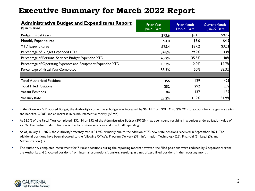| <b>Administrative Budget and Expenditures Report</b><br>$($$ in millions) | <b>Prior Year</b><br>Jan-21 Data | <b>Prior Month</b><br>Dec-21 Data | <b>Current Month</b><br>Jan-22 Data |
|---------------------------------------------------------------------------|----------------------------------|-----------------------------------|-------------------------------------|
| Budget (Fiscal Year)                                                      | \$73.6                           | \$91.1                            | \$97.2                              |
| Monthly Expenditures                                                      | \$4.0                            | \$5.0                             | \$4.9                               |
| <b>YTD Expenditures</b>                                                   | \$25.4                           | \$27.2                            | \$32.1                              |
| Percentage of Budget Expended YTD                                         | 34.8%                            | 29.9%                             | 33%                                 |
| Percentage of Personal Services Budget Expended YTD                       | 40.2%                            | 35.5%                             | 40%                                 |
| Percentage of Operating Expenses and Equipment Expended YTD               | 19.7%                            | 12.0%                             | 12.7%                               |
| Percentage of Fiscal Year Completed                                       | 58.3%                            | 50%                               | 58.3%                               |
|                                                                           |                                  |                                   |                                     |
| <b>Total Authorized Positions</b>                                         | 356                              | 429                               | 429                                 |
| <b>Total Filled Positions</b>                                             | 252                              | 292                               | 292                                 |
| Vacant Positions                                                          | 104                              | 137                               | 137                                 |
| Vacancy Rate                                                              | 29.2%                            | 31.9%                             | 31.9%                               |

- In the Governor's Proposed Budget, the Authority's current year budget was increased by \$6.1M (from \$91.1M to \$97.2M) to account for changes in salaries and benefits, OE&E, and an increase in reimbursement authority (\$3.9M).
- At 58.3% of the Fiscal Year completed, \$32.1M or 33% of the Administrative Budget (\$97.2M) has been spent, resulting in a budget underutilization value of 25.3%. The budget underutilization is due to position vacancies and low OE&E spending.
- As of January 31, 2022, the Authority's vacancy rate is 31.9%, primarily due to the addition of 73 new state positions received in September 2021. The additional positions have been allocated to the following Office's: Program Delivery (39), Information Technology (25), Financial (5), Legal (3), and Administration (1).
- The Authority completed recruitment for 7 vacant positions during the reporting month; however, the filled positions were reduced by 5 separations from the Authority and 2 vacated positions from internal promotions/transfers, resulting in a net of zero filled positions in the reporting month.

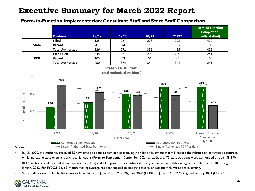#### **Form-to-Function Implementation: Consultant Staff and State Staff Comparison**



- In July 2020, the Authority received 85 new state positions as part of a cost-saving workload adjustment that will reduce the reliance on contracted resources, while increasing state oversight of critical functions (Form-to-Function). In September 2021, an additional 73 state positions were authorized through SB 170.
- RDP position counts use Full-Time Equivalents (FTE's) and filled positions for historical fiscal years utilize monthly averages from October 2018 through January 2022. For FY2021-22, a 3-month moving average has been utilized to smooth seasonal and/or monthly variations in staffing.
- State Staff positions filled by fiscal year include data from June 2019 (FY18/19), June 2020 (FY19/20), June 2021 (FY20/21), and January 2022 (FY21/22).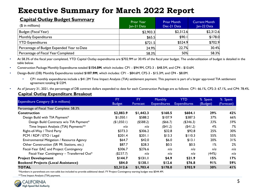| <b>Capital Outlay Budget Summary</b><br>$($$ in millions) | <b>Prior Year</b><br>Jan-21 Data | <b>Prior Month</b><br>Dec-21 Data | <b>Current Month</b><br>Jan-22 Data |
|-----------------------------------------------------------|----------------------------------|-----------------------------------|-------------------------------------|
| Budget (Fiscal Year)                                      | \$2,903.3                        | \$2,312.6                         | \$2,312.6                           |
| Monthly Expenditures                                      | \$65.5                           | \$90.1                            | \$178.0                             |
| <b>YTD Expenditures</b>                                   | \$721.5                          | \$524.9                           | \$702.9                             |
| Percentage of Budget Expended Year to Date                | 24.9%                            | 22.7%                             | 30.4%                               |
| Percentage of Fiscal Year Completed                       | 58.3%                            | 50%                               | 58.3%                               |

• At 58.3% of the fiscal year completed, YTD Capital Outlay expenditures are \$702.9M or 30.4% of the fiscal year budget. The underutilization of budget is detailed in the table below.

• Construction Package Monthly Expenditures totaled **\$154.0M**, which includes: CP1 - \$94.9M, CP2-3 - \$48.5M, and CP4 - \$10.6M.

- Design-Build (DB) Monthly Expenditures totaled **\$107.9M**, which includes: CP1 \$84.6M, CP2-3 \$15.3M, and CP4 \$8.0M.
	- CP1 monthly expenditures include a \$41.2M Time Impact Analysis (TIA) settlement payment. This payment is part of a larger approved TIA settlement agreement totaling \$122M.
- As of January 31, 2021, the percentage of DB contract dollars expended to date for each Construction Package are as follows: CP1: 66.1%, CP2-3: 67.1%, and CP4: 78.4%.

#### **Capital Outlay Expenditure Breakout**

|                                            | FY            | <b>FY</b>    | <b>Monthly</b>      | <b>YTD</b>          | % Spent  | % Spent    |
|--------------------------------------------|---------------|--------------|---------------------|---------------------|----------|------------|
| Expenditure Category (\$ in millions)      | <b>Budget</b> | Forecast     | <b>Expenditures</b> | <b>Expenditures</b> | (Budget) | (Forecast) |
| Percentage of Fiscal Year Complete: 58.3%  |               |              |                     |                     |          |            |
| <b>Construction</b>                        | \$2,083.9     | \$1,442.3    | \$160.5             | \$604.1             | 29%      | 42%        |
| Design Build with TIA Payment*             | \$1,050.1     | \$588.2      | \$107.9             | \$387.5             | 37%      | 66%        |
| Design Build Contracts w/o TIA Payment*    | (\$1,050.1)   | $($ \$588.2) | ( \$66.7)           | $($ \$346.3)        | 33%      | 59%        |
| Time Impact Analysis (TIA) Payments**      | nla           | n/a          | ( \$41.2)           | $($ \$41.2)         | 4%       | 7%         |
| Right-of-Way / Third Party                 | \$373.3       | \$306.2      | \$32.8              | \$92.8              | 25%      | 30%        |
| PCM / RDP / ETO / Legal                    | \$201.4       | \$201.1      | \$13.3              | \$110.3             | 55%      | 55%        |
| Environmental Mitigation / Resource Agency | \$64.7        | \$42.0       | \$6.0               | \$13.1              | 20%      | 31%        |
| Other Construction (SR 99, Stations, etc.) | \$87.7        | \$28.3       | \$0.5               | \$0.5               | 1%       | 2%         |
| Fiscal-Year EAC and Project Contingency    | \$306.7       | \$276.6      | n/a                 | nla                 | nla      | n/a        |
| Fiscal-Year Contingency - Transferred Out* | (\$237.7)     | nla          | n/a                 | nla                 | (44%)    | n/a        |
| <b>Project Development</b>                 | \$144.7       | \$131.1      | \$4.9               | \$21.9              | 15%      | 17%        |
| <b>Bookend Projects (Local Assistance)</b> | \$84.0        | \$130.1      | \$12.6              | \$76.8              | 91%      | 59%        |
| <b>TOTAL</b>                               | \$2,312.6     | \$1,703.4    | \$178.0             | \$702.9             | 30%      | 41%        |

\*Numbers in parenthesis are non-adds but included to provide additional detail. FY Project Contingency starting budget was \$544.4M.

\*\*Time Impact Analysis (TIA) payment.

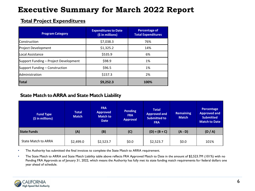### **Total Project Expenditures**

| <b>Program Category</b>               | <b>Expenditures to Date</b><br>(\$ in millions) | <b>Percentage of</b><br><b>Total Expenditures</b> |
|---------------------------------------|-------------------------------------------------|---------------------------------------------------|
| <b>Construction</b>                   | \$7,038.3                                       | 76%                                               |
| Project Development                   | \$1,325.2                                       | 14%                                               |
| lLocal Assistance                     | \$535.9                                         | 6%                                                |
| Support Funding - Project Development | \$98.9                                          | 1%                                                |
| Support Funding – Construction        | \$96.5                                          | 1%                                                |
| Administration                        | \$157.3                                         | 2%                                                |
| <b>Total</b>                          | \$9,252.3                                       | 100%                                              |

### **State Match to ARRA and State Match Liability**

| <b>Fund Type</b><br>(\$ in millions) | <b>Total</b><br><b>Match</b> | <b>FRA</b><br><b>Approved</b><br><b>Match to</b><br><b>Date</b> | <b>Pending</b><br><b>FRA</b><br><b>Approval</b> | <b>Total</b><br><b>Approved and</b><br><b>Submitted to</b><br><b>FRA</b> | <b>Remaining</b><br><b>Match</b> | Percentage<br><b>Approved and</b><br><b>Submitted</b><br><b>Match to Date</b> |
|--------------------------------------|------------------------------|-----------------------------------------------------------------|-------------------------------------------------|--------------------------------------------------------------------------|----------------------------------|-------------------------------------------------------------------------------|
| <b>State Funds</b>                   | (A)                          | (B)                                                             | (C)                                             | $(D) = (B + C)$                                                          | $(A - D)$                        | (D/A)                                                                         |
| State Match to ARRA                  | \$2,499.0                    | \$2,523.7                                                       | \$0.0                                           | \$2,523.7                                                                | \$0.0                            | 101%                                                                          |

• The Authority has submitted the final invoices to complete the State Match to ARRA requirement.

• The State Match to ARRA and State Match Liability table above reflects FRA Approved Match to Date in the amount of \$2,523.7M (101%) with no Pending FRA Approvals as of January 31, 2022, which means the Authority has fully met its state funding match requirements for federal dollars one year ahead of schedule.

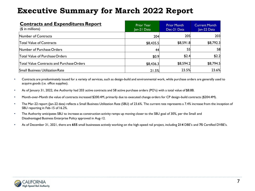| <b>Contracts and Expenditures Report</b><br>$($$ in millions) | <b>Prior Year</b><br>Jan-21 Data | <b>Prior Month</b><br>Dec-21 Data | <b>Current Month</b><br>Jan-22 Data |
|---------------------------------------------------------------|----------------------------------|-----------------------------------|-------------------------------------|
| Number of Contracts                                           | 204                              | 205                               | 203                                 |
| Total Value of Contracts                                      | \$8,435.5                        | \$8,591.8                         | \$8,792.3                           |
| Number of Purchase Orders                                     | 44                               | 55                                | 58                                  |
| <b>Total Value of Purchase Orders</b>                         | \$0.9                            | \$2.4                             | \$2.2                               |
| <b>Total Value Contracts and Purchase Orders</b>              | \$8,436.3                        | \$8,594.2                         | \$8,794.5                           |
| <b>Small Business Utilization Rate</b>                        | 21.5%                            | 23.5%                             | 23.6%                               |

- Contracts are predominately issued for a variety of services, such as design-build and environmental work, while purchase orders are generally used to acquire goods (i.e. office supplies).
- As of January 31, 2022, the Authority had 203 active contracts and 58 active purchase orders (PO's) with a total value of \$8.8B.
- Month-over-Month the value of contracts increased \$200.4M, primarily due to executed change orders for CP design-build contracts (\$204.4M).
- The Mar-22 report (Jan-22 data) reflects a Small Business Utilization Rate (SBU) of 23.6%. The current rate represents a 7.4% increase from the inception of SBU reporting in Feb-15 of 16.2%.
- The Authority anticipates SBU to increase as construction activity ramps up moving closer to the SBU goal of 30%, per the Small and Disadvantaged Business Enterprise Policy approved in Aug-12.
- As of December 31, 2021, there are **655** small businesses actively working on the high-speed rail project, including **214** DBE's and **75** Certified DVBE's.

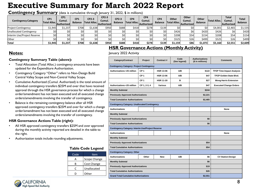**Contingency Summary** (data is cumulative through January 31, 2022, \$ in millions)

| <b>Contingency Category</b> | CP1<br>Total Alloc. | CP1<br>Cumul.<br> Authorized | CP <sub>1</sub><br><b>Balance</b> | CP2-3<br><b>Total Alloc.</b> | CP2-3<br>Cumul.<br><b>Authorized</b> | CP2-3<br><b>Balance</b> | CP4<br> Total Alloc. | CP <sub>4</sub><br>Cumul.<br><b>Authorized</b> | CP4<br><b>Balance</b> | Other<br><b>Total Alloc.</b> | Other<br>Cumul.<br><b>Authorized</b> | Other<br><b>Balance</b> | <b>Total Alloc.</b> | <b>Total</b><br>Cumul.<br> Authorized | <b>Total</b><br><b>Balance</b> |
|-----------------------------|---------------------|------------------------------|-----------------------------------|------------------------------|--------------------------------------|-------------------------|----------------------|------------------------------------------------|-----------------------|------------------------------|--------------------------------------|-------------------------|---------------------|---------------------------------------|--------------------------------|
| <b>Project Contingency</b>  | 1,945﴿              | \$1.237                      | \$708                             | \$1,638                      | \$950                                | \$688                   | \$418                | \$278                                          | \$139                 |                              |                                      |                         | \$4,001             | \$2.465                               | \$1,535                        |
| Unallocated Contingency     |                     |                              |                                   |                              |                                      |                         |                      |                                                |                       | \$426                        |                                      | \$420                   | \$426               |                                       | \$420                          |
| Interim Use/Project Reserve | ¢∩                  |                              |                                   | ċ∩                           |                                      |                         |                      |                                                |                       | \$208                        | \$54                                 | \$154                   | \$208               | \$54                                  | \$154                          |
| Other                       |                     |                              |                                   |                              |                                      |                         |                      |                                                |                       | \$525                        | \$26                                 | \$499                   | \$525               | \$26                                  | \$499                          |
| Total                       | \$1,945             | \$1,237                      | \$708                             | \$1,638                      | \$950                                | \$688                   | \$418                | \$278                                          | \$139                 | \$1.159                      | \$86                                 | \$1,073                 | \$5,160             | \$2,551                               | \$2,609                        |

#### **HSR Governance Actions (Monthly Activity)**

#### **Contingency Summary Table (above):**

- Total Allocation (Total Alloc.) contingency amounts have been updated for the Expenditure Authorization.
- Contingency Category "Other" refers to Non-Design Build Central Valley Scope and Non-Central Valley Scope.
- Cumulative Authorized (Cumul. Authorized) is the total amount of individual contingency transfers \$25M and over that have received approval through the HSR governance process for which a change order/amendment has not been executed and all executed change orders/amendments involving the transfer of contingency.
- Balance is the remaining contingency balance after all HSR approved contingency transfers \$25M and over for which a change order/amendment has not been executed and all executed change orders/amendments involving the transfer of contingency.

#### **HSR Governance Actions Table (right):**

- All HSR approved contingency transfers \$25M and over approved during the monthly activity reported are detailed in the table to the right.
- Authorization totals include rounding adjustments.

| Code | Item         |  |  |  |  |  |
|------|--------------|--|--|--|--|--|
|      | Scope Change |  |  |  |  |  |
| R    | Cost Change  |  |  |  |  |  |
| r    | Unallocated  |  |  |  |  |  |
|      | Other        |  |  |  |  |  |

**Table Code Legend**

#### **Notes:** January 2022 Activity

| <b>Category/Contract</b>                                 | Project         | Contract #       | Code<br>(See legend) | <b>Authorizations</b><br>(\$ in millions) | <b>Comments</b>                  |
|----------------------------------------------------------|-----------------|------------------|----------------------|-------------------------------------------|----------------------------------|
| <b>Contingency Category: Project Contingency</b>         |                 |                  |                      |                                           |                                  |
| Authorizations > 25 million                              | CP <sub>1</sub> | <b>HSR 13-06</b> | A/B                  | \$122                                     | <b>TPZP Time Impact Analysis</b> |
|                                                          | CP <sub>1</sub> | <b>HSR 13-06</b> | A/B                  | \$47                                      | TPZP Golden State Blvd.          |
|                                                          | CP <sub>1</sub> | <b>HSR 11-20</b> | в                    | \$27                                      | <b>Wong Harris Extension</b>     |
| Authorizations <25 million                               | CP 1, 2-3, 4    | <b>Various</b>   | A/B                  | \$47                                      | <b>Executed Change Orders</b>    |
| <b>Monthly Subtotal</b>                                  |                 |                  |                      | \$244                                     |                                  |
| <b>Previously Approved Authorizations</b>                |                 |                  |                      | \$2,221                                   |                                  |
| <b>Total Cumulative Authorizations</b>                   |                 |                  |                      | \$2,465                                   |                                  |
| <b>Contingency Category: Unallocated Contingency</b>     |                 |                  |                      |                                           |                                  |
| <b>Authorizations</b>                                    |                 |                  |                      |                                           | None                             |
| <b>Monthly Subtotal</b>                                  |                 |                  |                      |                                           |                                  |
| <b>Previously Approved Authorizations</b>                |                 |                  |                      | \$6                                       |                                  |
| <b>Total Cumulative Authorizations</b>                   |                 |                  |                      | \$6                                       |                                  |
| <b>Contingency Category: Interim Use/Project Reserve</b> |                 |                  |                      |                                           |                                  |
| <b>Authorizations</b>                                    |                 |                  |                      |                                           | None                             |
| <b>Monthly Subtotal</b>                                  |                 |                  |                      |                                           |                                  |
| <b>Previously Approved Authorizations</b>                |                 |                  |                      | \$54                                      |                                  |
| <b>Total Cumulative Authorizations</b>                   |                 |                  |                      | \$54                                      |                                  |
| <b>Contingency Category: Other</b>                       |                 |                  |                      |                                           |                                  |
| <b>Authorizations</b>                                    | Other           | <b>New</b>       | A/B                  | \$6                                       | <b>CV Station Design</b>         |
| <b>Monthly Subtotal</b>                                  |                 | \$6              |                      |                                           |                                  |
| <b>Previously Approved Authorizations</b>                |                 | \$19             |                      |                                           |                                  |
| <b>Total Cumulative Authorizations</b>                   |                 | \$26             |                      |                                           |                                  |
| <b>Grand Total Cumulative Authorizations</b>             |                 | \$2,551          |                      |                                           |                                  |

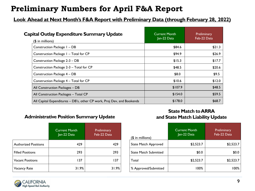# **Preliminary Numbers for April F&A Report**

### **Look Ahead at Next Month's F&A Report with Preliminary Data (through February 28, 2022)**

| <b>Capital Outlay Expenditure Summary Update</b>                       | <b>Current Month</b><br>Jan-22 Data | Preliminary<br>Feb-22 Data |
|------------------------------------------------------------------------|-------------------------------------|----------------------------|
| $($$ in millions)                                                      |                                     |                            |
| Construction Package I - DB                                            | \$84.6                              | \$21.3                     |
| Construction Package 1 - Total for CP                                  | \$94.9                              | \$26.9                     |
| Construction Package 2-3 - DB                                          | \$15.3                              | \$17.7                     |
| Construction Package 2-3 - Total for CP                                | \$48.5                              | \$20.6                     |
| Construction Package 4 - DB                                            | \$8.0                               | \$9.5                      |
| Construction Package 4 - Total for CP                                  | \$10.6                              | \$12.0                     |
| All Construction Packages - DB                                         | \$107.9                             | \$48.5                     |
| All Construction Packages - Total CP                                   | \$154.0                             | \$59.5                     |
| All Capital Expenditures - DB's, other CP work, Proj Dev, and Bookends | \$178.0                             | \$68.7                     |

#### **Administrative Position Summary Update**

|                         | <b>Current Month</b><br>Jan-22 Data | Preliminary<br>Feb-22 Data |
|-------------------------|-------------------------------------|----------------------------|
| Authorized Positions    | 429                                 | 429                        |
| <b>Filled Positions</b> | 293                                 | 293                        |
| <b>Vacant Positions</b> | 137                                 | 137                        |
| Vacancy Rate            | 31.9%                               | 31.9%                      |

#### **State Match to ARRA and State Match Liability Update**

| (\$ in millions)             | <b>Current Month</b><br>Jan-22 Data | Preliminary<br>Feb-22 Data |
|------------------------------|-------------------------------------|----------------------------|
| <b>State Match Approved</b>  | \$2,523.7                           | \$2,523.7                  |
| <b>State Match Submitted</b> | \$0.0                               | \$0.0                      |
| Total                        | \$2,523.7                           | \$2,523.7                  |
| % Approved/Submitted         | 100%                                | 100%                       |

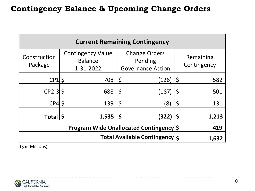| <b>Current Remaining Contingency</b>           |  |                                                         |         |                                                             |    |                          |  |
|------------------------------------------------|--|---------------------------------------------------------|---------|-------------------------------------------------------------|----|--------------------------|--|
| Construction<br>Package                        |  | <b>Contingency Value</b><br><b>Balance</b><br>1-31-2022 |         | <b>Change Orders</b><br>Pending<br><b>Governance Action</b> |    | Remaining<br>Contingency |  |
| $CP1$ \$                                       |  | 708                                                     | $\zeta$ | (126)                                                       | \$ | 582                      |  |
| $CP2-3$                                        |  | 688                                                     | $\zeta$ | (187)                                                       | \$ | 501                      |  |
| $CP4$ \$                                       |  | 139                                                     | $\zeta$ | (8)                                                         | \$ | 131                      |  |
| Total                                          |  | 1,535                                                   | S       | (322)                                                       | Ş  | 1,213                    |  |
| <b>Program Wide Unallocated Contingency \$</b> |  |                                                         |         |                                                             |    | 419                      |  |
| Total Available Contingency 5                  |  |                                                         |         |                                                             |    | 1,632                    |  |

(\$ in Millions)